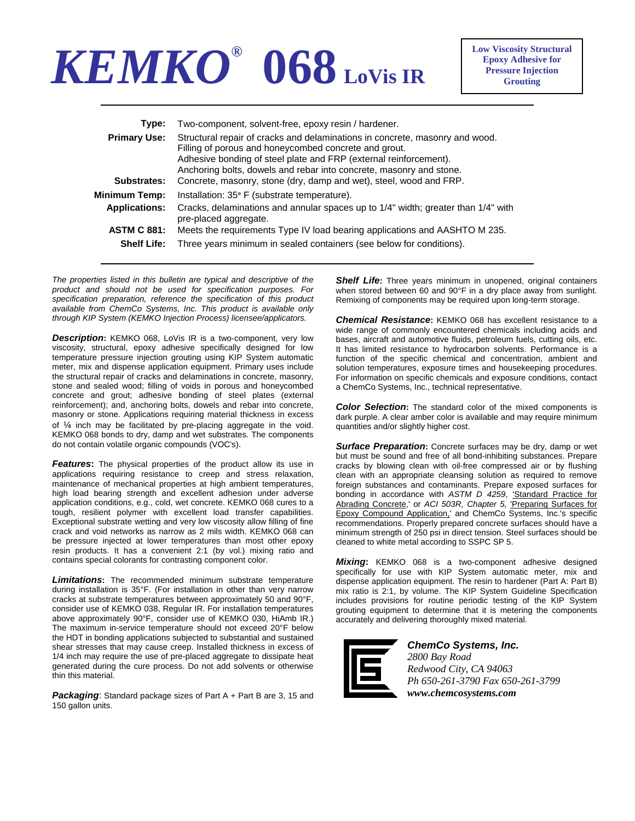

| Type:                | Two-component, solvent-free, epoxy resin / hardener.                                                                                                                                                                                                                              |
|----------------------|-----------------------------------------------------------------------------------------------------------------------------------------------------------------------------------------------------------------------------------------------------------------------------------|
| <b>Primary Use:</b>  | Structural repair of cracks and delaminations in concrete, masonry and wood.<br>Filling of porous and honeycombed concrete and grout.<br>Adhesive bonding of steel plate and FRP (external reinforcement).<br>Anchoring bolts, dowels and rebar into concrete, masonry and stone. |
| Substrates:          | Concrete, masonry, stone (dry, damp and wet), steel, wood and FRP.                                                                                                                                                                                                                |
| <b>Minimum Temp:</b> | Installation: 35° F (substrate temperature).                                                                                                                                                                                                                                      |
| <b>Applications:</b> | Cracks, delaminations and annular spaces up to 1/4" width; greater than 1/4" with<br>pre-placed aggregate.                                                                                                                                                                        |
| <b>ASTM C 881:</b>   | Meets the requirements Type IV load bearing applications and AASHTO M 235.                                                                                                                                                                                                        |
| <b>Shelf Life:</b>   | Three years minimum in sealed containers (see below for conditions).                                                                                                                                                                                                              |

*The properties listed in this bulletin are typical and descriptive of the product and should not be used for specification purposes. For specification preparation, reference the specification of this product available from ChemCo Systems, Inc. This product is available only through KIP System (KEMKO Injection Process) licensee/applicators.* 

**Description:** KEMKO 068, LoVis IR is a two-component, very low viscosity, structural, epoxy adhesive specifically designed for low temperature pressure injection grouting using KIP System automatic meter, mix and dispense application equipment. Primary uses include the structural repair of cracks and delaminations in concrete, masonry, stone and sealed wood; filling of voids in porous and honeycombed concrete and grout; adhesive bonding of steel plates (external reinforcement); and, anchoring bolts, dowels and rebar into concrete, masonry or stone. Applications requiring material thickness in excess of ¼ inch may be facilitated by pre-placing aggregate in the void. KEMKO 068 bonds to dry, damp and wet substrates. The components do not contain volatile organic compounds (VOC's).

*Features*: The physical properties of the product allow its use in applications requiring resistance to creep and stress relaxation, maintenance of mechanical properties at high ambient temperatures, high load bearing strength and excellent adhesion under adverse application conditions, e.g., cold, wet concrete. KEMKO 068 cures to a tough, resilient polymer with excellent load transfer capabilities. Exceptional substrate wetting and very low viscosity allow filling of fine crack and void networks as narrow as 2 mils width. KEMKO 068 can be pressure injected at lower temperatures than most other epoxy resin products. It has a convenient 2:1 (by vol.) mixing ratio and contains special colorants for contrasting component color.

*Limitations***:** The recommended minimum substrate temperature during installation is 35°F. (For installation in other than very narrow cracks at substrate temperatures between approximately 50 and 90°F, consider use of KEMKO 038, Regular IR. For installation temperatures above approximately 90°F, consider use of KEMKO 030, HiAmb IR.) The maximum in-service temperature should not exceed 20°F below the HDT in bonding applications subjected to substantial and sustained shear stresses that may cause creep. Installed thickness in excess of 1/4 inch may require the use of pre-placed aggregate to dissipate heat generated during the cure process. Do not add solvents or otherwise thin this material.

*Packaging*: Standard package sizes of Part A + Part B are 3, 15 and 150 gallon units.

*Shelf Life***:** Three years minimum in unopened, original containers when stored between 60 and 90°F in a dry place away from sunlight. Remixing of components may be required upon long-term storage.

*Chemical Resistance***:** KEMKO 068 has excellent resistance to a wide range of commonly encountered chemicals including acids and bases, aircraft and automotive fluids, petroleum fuels, cutting oils, etc. It has limited resistance to hydrocarbon solvents. Performance is a function of the specific chemical and concentration, ambient and solution temperatures, exposure times and housekeeping procedures. For information on specific chemicals and exposure conditions, contact a ChemCo Systems, Inc., technical representative.

*Color Selection***:** The standard color of the mixed components is dark purple. A clear amber color is available and may require minimum quantities and/or slightly higher cost.

**Surface Preparation:** Concrete surfaces may be dry, damp or wet but must be sound and free of all bond-inhibiting substances. Prepare cracks by blowing clean with oil-free compressed air or by flushing clean with an appropriate cleansing solution as required to remove foreign substances and contaminants. Prepare exposed surfaces for bonding in accordance with *ASTM D 4259*, 'Standard Practice for Abrading Concrete,' or *ACI 503R, Chapter 5,* 'Preparing Surfaces for Epoxy Compound Application,' and ChemCo Systems, Inc.'s specific recommendations. Properly prepared concrete surfaces should have a minimum strength of 250 psi in direct tension. Steel surfaces should be cleaned to white metal according to SSPC SP 5.

*Mixing***:** KEMKO 068 is a two-component adhesive designed specifically for use with KIP System automatic meter, mix and dispense application equipment. The resin to hardener (Part A: Part B) mix ratio is 2:1, by volume. The KIP System Guideline Specification includes provisions for routine periodic testing of the KIP System grouting equipment to determine that it is metering the components accurately and delivering thoroughly mixed material.



## *ChemCo Systems, Inc. 2800 Bay Road Redwood City, CA 94063 Ph 650-261-3790 Fax 650-261-3799*

*www.chemcosystems.com*